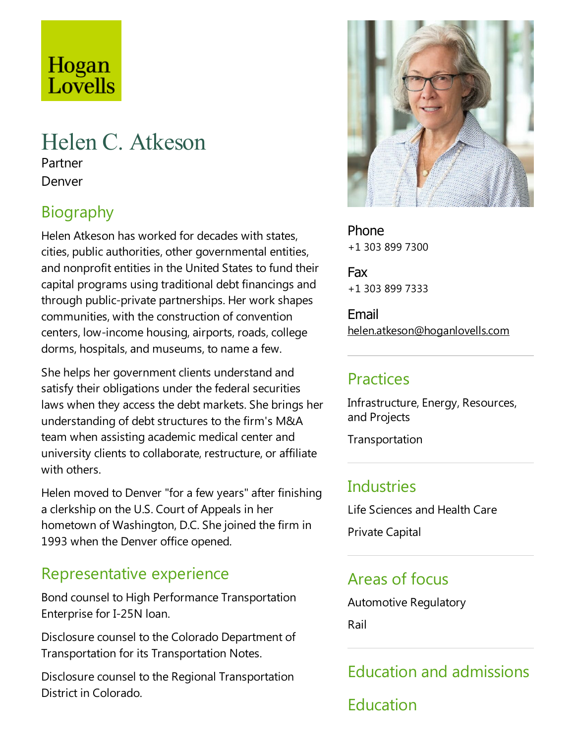# Hogan Lovells

# Helen C. Atkeson

Partner Denver

# **Biography**

Helen Atkeson has worked for decades with states, cities, public authorities, other governmental entities, and nonprofit entities in the United States to fund their capital programs using traditional debt financings and through public-private partnerships. Her work shapes communities, with the construction of convention centers, low-income housing, airports, roads, college dorms, hospitals, and museums, to name a few.

She helps her government clients understand and satisfy their obligations under the federal securities laws when they access the debt markets. She brings her understanding of debt structures to the firm's M&A team when assisting academic medical center and university clients to collaborate, restructure, or affiliate with others.

Helen moved to Denver "for a few years" after finishing a clerkship on the U.S. Court of Appeals in her hometown of Washington, D.C. She joined the firm in 1993 when the Denver office opened.

## Representative experience

Bond counsel to High Performance Transportation Enterprise for I-25N loan.

Disclosure counsel to the Colorado Department of Transportation for its Transportation Notes.

Disclosure counsel to the Regional Transportation District in Colorado.



Phone +1 303 899 7300

Fax +1 303 899 7333

Email helen.atkeson@hoganlovells.com

## Practices

Infrastructure, Energy, Resources, and Projects

Transportation

### **Industries**

Life Sciences and Health Care

Private Capital

### Areas of focus

Automotive Regulatory

Rail

Education and admissions

Education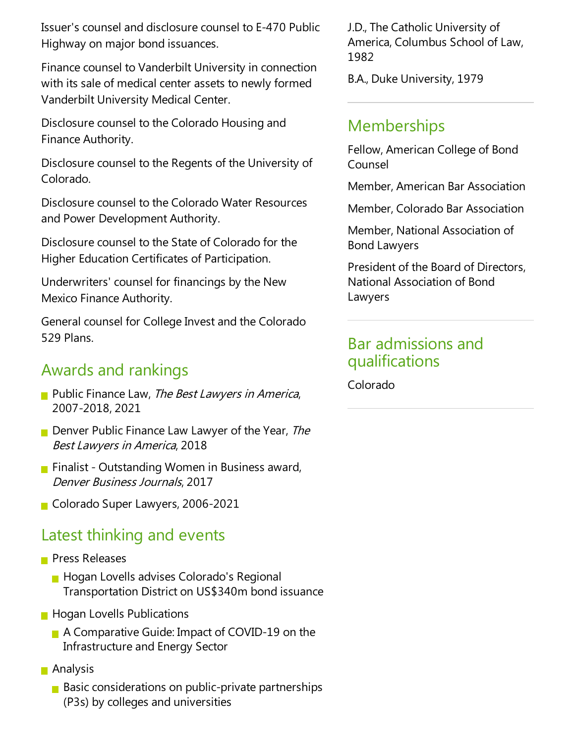Issuer's counsel and disclosurecounsel to E-470 Public Highway on major bond issuances.

Finance counsel to Vanderbilt University in connection with its sale of medical center assets to newly formed Vanderbilt University Medical Center.

Disclosure counsel to the Colorado Housing and Finance Authority.

Disclosure counsel to the Regents of the University of Colorado.

Disclosure counsel to the Colorado Water Resources and Power Development Authority.

Disclosure counsel to the State of Colorado for the Higher Education Certificates of Participation.

Underwriters' counsel for financings by the New Mexico Finance Authority.

General counsel for College Invest and the Colorado 529 Plans.

#### Awards and rankings

- Public Finance Law, The Best Lawyers in America, 2007-2018, 2021
- Denver Public Finance Law Lawyer of the Year, The Best Lawyers in America, 2018
- **Finalist Outstanding Women in Business award,** Denver Business Journals, 2017
- Colorado Super Lawyers, 2006-2021

### Latest thinking and events

- **Press Releases** 
	- **Hogan Lovells advises Colorado's Regional** Transportation District on US\$340m bond issuance
- **Hogan Lovells Publications** 
	- A Comparative Guide: Impact of COVID-19 on the Infrastructure and Energy Sector
- **■** Analysis
	- $\blacksquare$  Basic considerations on public-private partnerships (P3s) by colleges and universities

J.D.,The Catholic University of America, Columbus School of Law, 1982

B.A., Duke University, 1979

#### **Memberships**

Fellow, American College of Bond Counsel

Member, American Bar Association

Member, Colorado Bar Association

Member, National Association of Bond Lawyers

President of the Board of Directors, National Association of Bond Lawyers

#### Bar admissions and qualifications

Colorado